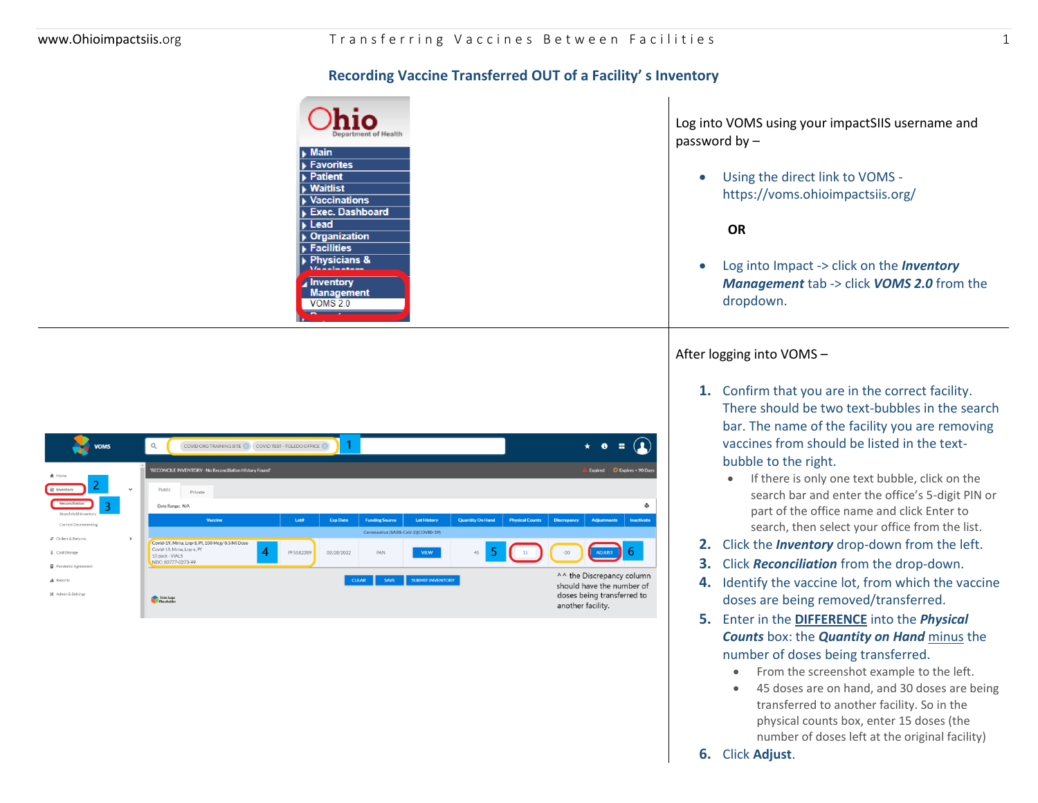## **Recording Vaccine Transferred OUT of a Facility' s Inventory**

| <b>hio</b><br>Department of Health |  |
|------------------------------------|--|
| $\blacktriangleright$ Main         |  |
| Favorites                          |  |
| $\overline{\phantom{1}}$ Patient   |  |
| $\blacktriangleright$ Waitlist     |  |
| <b>Vaccinations</b>                |  |
| Exec. Dashboard                    |  |
| $\blacktriangleright$ Lead         |  |
| ▶ Organization                     |  |
| Facilities                         |  |
| $\blacktriangleright$ Physicians & |  |
|                                    |  |
| <b>Inventory</b>                   |  |
| <b>Management</b>                  |  |
| VOMS 2.0                           |  |
|                                    |  |

| <b>VOMS</b>                            | $\mathsf Q$               | COVID ORG TRAINING SITE                                                           | COVID TEST - TOLEDO OFFICE |                 |                                    |                         |                         |                        |                    | *                                                                                    |                     |
|----------------------------------------|---------------------------|-----------------------------------------------------------------------------------|----------------------------|-----------------|------------------------------------|-------------------------|-------------------------|------------------------|--------------------|--------------------------------------------------------------------------------------|---------------------|
| <del>A</del> Home                      |                           | 'RECONCILE INVENTORY - No Reconciliation History Found'                           |                            |                 |                                    |                         |                         |                        |                    | Expired                                                                              | © Expires < 90 Days |
| At Inventory<br>$\checkmark$           | Public                    | Private                                                                           |                            |                 |                                    |                         |                         |                        |                    |                                                                                      |                     |
| Reconciliation<br>Search/Add Inventory |                           | Date Range: N/A                                                                   |                            |                 |                                    |                         |                         |                        |                    |                                                                                      | Ĥ.                  |
| Correct Decrementing                   |                           | Vaccine                                                                           | Lota                       | <b>Exp Date</b> | <b>Funding Source</b>              | <b>Lot History</b>      | <b>Quantity On Hand</b> | <b>Physical Counts</b> | <b>Discrepancy</b> | <b>Adjustments</b>                                                                   | Inactivate          |
| ₹ Orders & Returns<br>$\rightarrow$    |                           |                                                                                   |                            |                 | Coronavirus (SARS-CoV-2)(COVID-19) |                         |                         |                        |                    |                                                                                      |                     |
| & Cold Storage                         | 10 pack - VIALS           | Covid-19, Mrna, Lnp-S, Pf, 100 Mcg/ 0.5 MI Dose<br>Covid-19, Mrna, Lnp-s, Pf<br>4 | PF5582389                  | 02/28/2022      | PAN                                | <b>VIEW</b>             | 45                      | 15                     | $-30$              | <b>ADJUST</b>                                                                        | -6                  |
| Pandemic Agreement                     |                           | NDC: 80777-0273-99                                                                |                            |                 |                                    |                         |                         |                        |                    |                                                                                      |                     |
| A Reports<br>X Admin & Settings        |                           |                                                                                   |                            |                 | <b>CLEAR</b><br><b>SAVE</b>        | <b>SUBMIT INVENTORY</b> |                         |                        |                    | ^^ the Discrepancy column<br>should have the number of<br>doses being transferred to |                     |
|                                        | State Logo<br>Placeholder |                                                                                   |                            |                 |                                    |                         |                         |                        | another facility   |                                                                                      |                     |

Log into VOMS using your impactSIIS username and password by –

• Using the direct link to VOMS https://voms.ohioimpactsiis.org/

 **OR**

• Log into Impact -> click on the *Inventory Management* tab -> click *VOMS 2.0* from the dropdown.

## After logging into VOMS –

- **1.** Confirm that you are in the correct facility. There should be two text-bubbles in the search bar. The name of the facility you are removing vaccines from should be listed in the textbubble to the right.
	- If there is only one text bubble, click on the search bar and enter the office's 5-digit PIN or part of the office name and click Enter to search, then select your office from the list.
- **2.** Click the *Inventory* drop-down from the left.
- **3.** Click *Reconciliation* from the drop-down.
- **4.** Identify the vaccine lot, from which the vaccine doses are being removed/transferred.
- **5.** Enter in the **DIFFERENCE** into the *Physical Counts* box: the *Quantity on Hand* minus the number of doses being transferred.
	- From the screenshot example to the left.
	- 45 doses are on hand, and 30 doses are being transferred to another facility. So in the physical counts box, enter 15 doses (the number of doses left at the original facility)
- **6.** Click **Adjust**.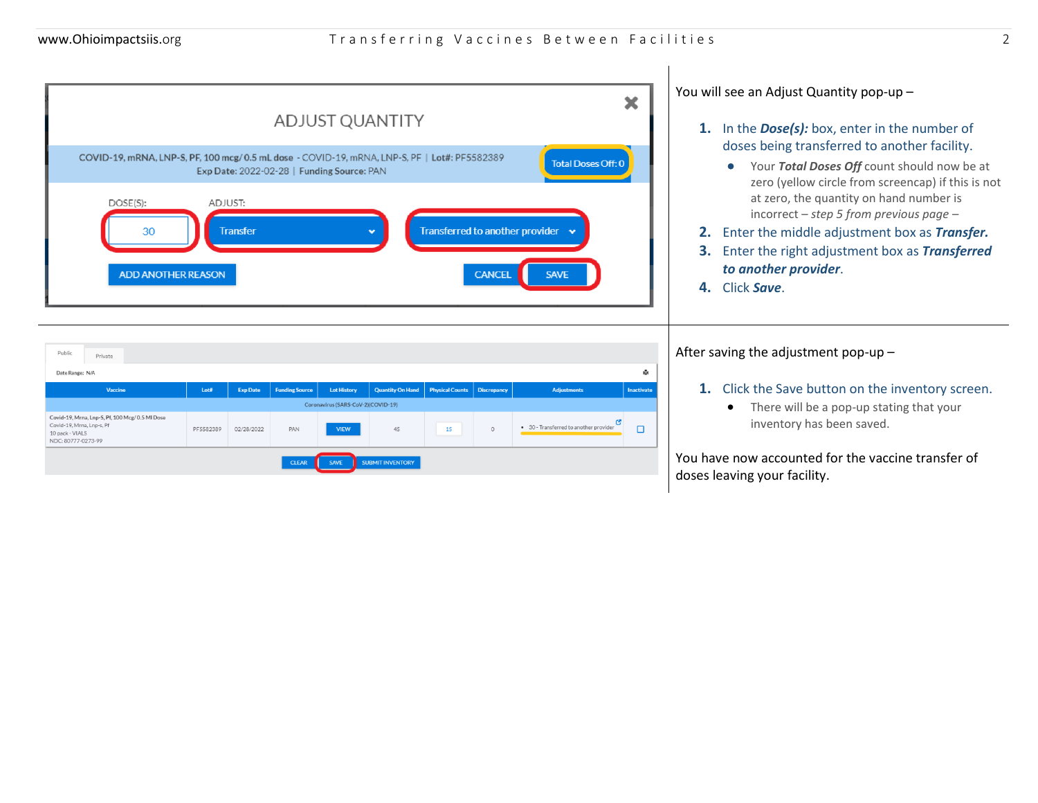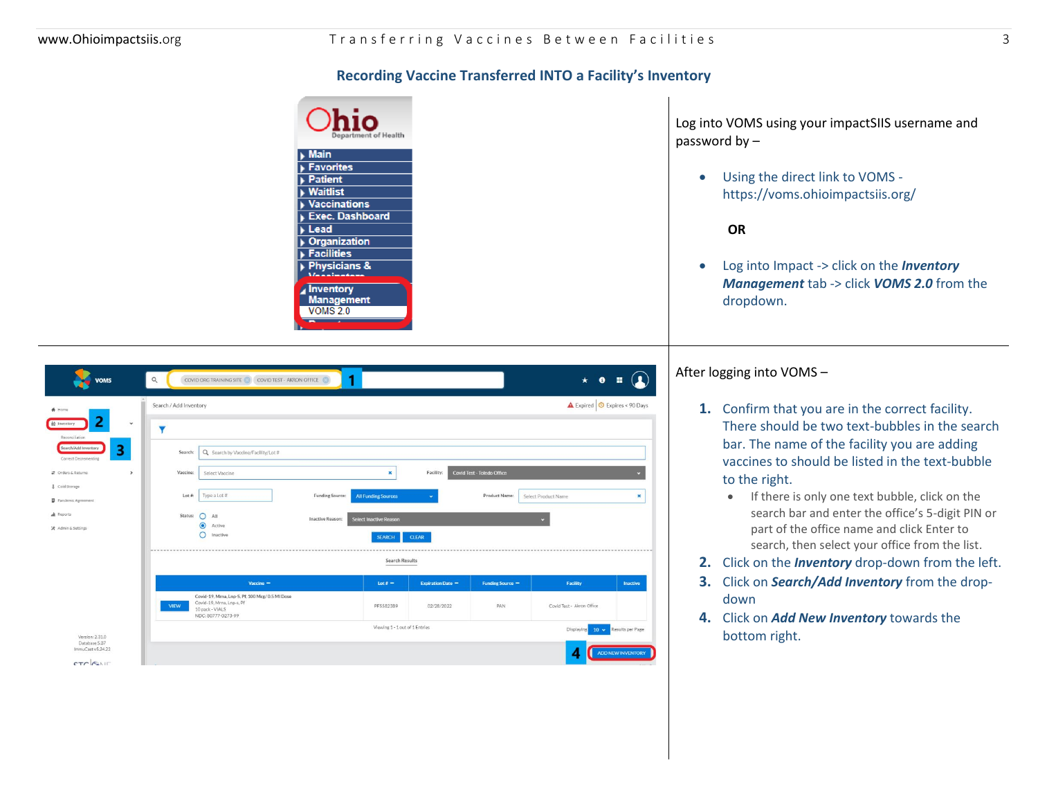## **Recording Vaccine Transferred INTO a Facility's Inventory**

| $\blacktriangleright$ Main<br>Favorites<br><b>Patient</b><br>$\blacktriangleright$ Waitlist |
|---------------------------------------------------------------------------------------------|
|                                                                                             |
|                                                                                             |
|                                                                                             |
|                                                                                             |
| $\blacktriangleright$ Vaccinations                                                          |
| <b>Exec. Dashboard</b>                                                                      |
| $\blacktriangleright$ Lead                                                                  |
| ▶ Organization                                                                              |
| $\blacktriangleright$ Facilities                                                            |
| Physicians &                                                                                |
|                                                                                             |
| <b>Inventory</b>                                                                            |
| <b>Management</b>                                                                           |
| VOMS <sub>2.0</sub>                                                                         |

Log into VOMS using your impactSIIS username and password by –

• Using the direct link to VOMS https://voms.ohioimpactsiis.org/

 **OR**

• Log into Impact -> click on the *Inventory Management* tab -> click *VOMS 2.0* from the dropdown.

| <b>VOMS</b>                                               | $\alpha$<br>COVID TEST - AKRON OFFICE<br>COVID ORG TRAINING SITE                                                                     |                                                                |                            | $\star$<br>$\bullet$                        |                   |
|-----------------------------------------------------------|--------------------------------------------------------------------------------------------------------------------------------------|----------------------------------------------------------------|----------------------------|---------------------------------------------|-------------------|
| A Home                                                    | Search / Add Inventory                                                                                                               |                                                                |                            | <b>A</b> Expired <b>C</b> Expires < 90 Days |                   |
| 2<br>$\check{~}$<br><b>Ad</b> Inventory<br>Reconciliation | Y                                                                                                                                    |                                                                |                            |                                             |                   |
| 3<br>Search/Add Inventory<br>Correct Decrementing         | Q Search by Vaccine/Facility/Lot #<br>Search:                                                                                        |                                                                |                            |                                             |                   |
| t Orders & Returns<br>$\rightarrow$                       | Vaccine:<br>Select Vaccine                                                                                                           | ×<br>Facility:                                                 | Covid Test - Toledo Office |                                             |                   |
| & Cold Storage<br>Pandemic Agreement                      | Type a Lot #<br>$Lot$ #:<br>Funding Source:                                                                                          | <b>All Funding Sources</b><br>$\sim$                           | Product Name:              | Select Product Name                         | $\pmb{\times}$    |
| <b>d</b> Reports<br>X Admin & Settings                    | Status:<br>$O$ All<br>Inactive Reason:<br>$\bullet$<br>Active<br>O<br>Inactive                                                       | <b>Select Inactive Reason</b><br><b>CLEAR</b><br><b>SEARCH</b> |                            |                                             |                   |
|                                                           |                                                                                                                                      | <b>Search Results</b>                                          |                            |                                             |                   |
|                                                           | Vaccine -                                                                                                                            | Lot # $-$<br><b>Expiration Date -</b>                          | Funding Source -           | Facility                                    | Inactive          |
|                                                           | Covid-19, Mrna, Lnp-S, Pf, 100 Mcg/ 0.5 MI Dose<br>Covid-19, Mrna, Lnp-s, Pf<br><b>VIEW</b><br>10 pack - VIALS<br>NDC: 80777-0273-99 | PF5582389<br>02/28/2022                                        | PAN                        | Covid Test - Akron Office                   |                   |
| Version: 2.31.0<br>Database 5.37<br>ImmuCast v5.24.22     |                                                                                                                                      | Viewing 1 - 1 out of 1 Entries                                 |                            | <b>Displaying</b><br>$10 \times$            | Results per Page  |
| CTC GAIL                                                  |                                                                                                                                      |                                                                |                            | A                                           | ADD NEW INVENTORY |

After logging into VOMS –

- **1.** Confirm that you are in the correct facility. There should be two text-bubbles in the search bar. The name of the facility you are adding vaccines to should be listed in the text-bubble to the right.
	- If there is only one text bubble, click on the search bar and enter the office's 5-digit PIN or part of the office name and click Enter to search, then select your office from the list.
- **2.** Click on the *Inventory* drop-down from the left.
- **3.** Click on *Search/Add Inventory* from the dropdown
- **4.** Click on *Add New Inventory* towards the bottom right.